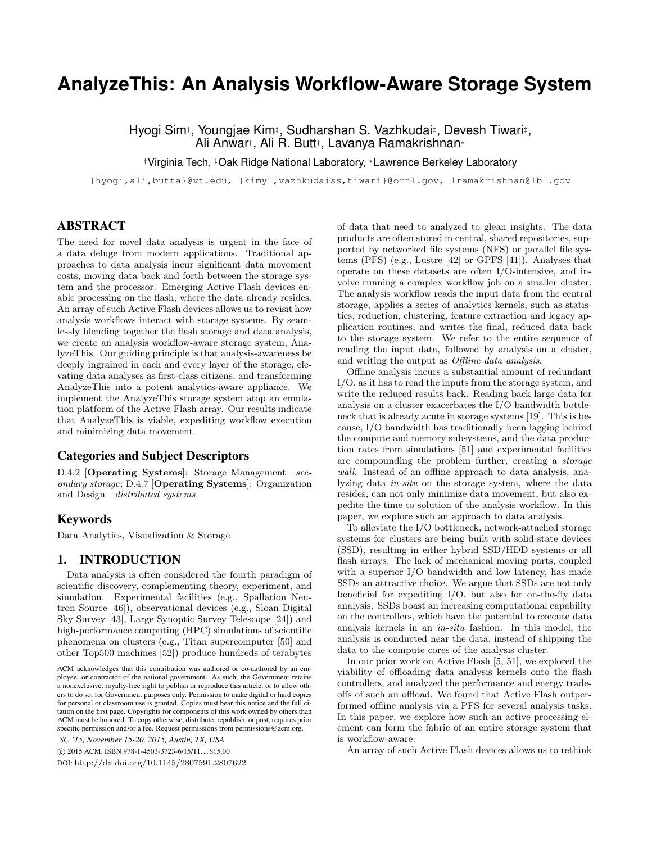# **AnalyzeThis: An Analysis Workflow-Aware Storage System**

Hyogi Sim†, Youngjae Kim‡, Sudharshan S. Vazhkudai‡, Devesh Tiwari‡, Ali Anwar† , Ali R. Butt† , Lavanya Ramakrishnan<sup>∗</sup>

†Virginia Tech, ‡Oak Ridge National Laboratory, <sup>∗</sup>Lawrence Berkeley Laboratory

{hyogi,ali,butta}@vt.edu, {kimy1,vazhkudaiss,tiwari}@ornl.gov, lramakrishnan@lbl.gov

# ABSTRACT

The need for novel data analysis is urgent in the face of a data deluge from modern applications. Traditional approaches to data analysis incur significant data movement costs, moving data back and forth between the storage system and the processor. Emerging Active Flash devices enable processing on the flash, where the data already resides. An array of such Active Flash devices allows us to revisit how analysis workflows interact with storage systems. By seamlessly blending together the flash storage and data analysis, we create an analysis workflow-aware storage system, AnalyzeThis. Our guiding principle is that analysis-awareness be deeply ingrained in each and every layer of the storage, elevating data analyses as first-class citizens, and transforming AnalyzeThis into a potent analytics-aware appliance. We implement the AnalyzeThis storage system atop an emulation platform of the Active Flash array. Our results indicate that AnalyzeThis is viable, expediting workflow execution and minimizing data movement.

# Categories and Subject Descriptors

D.4.2 [Operating Systems]: Storage Management—secondary storage; D.4.7 [Operating Systems]: Organization and Design—distributed systems

## Keywords

Data Analytics, Visualization & Storage

## 1. INTRODUCTION

Data analysis is often considered the fourth paradigm of scientific discovery, complementing theory, experiment, and simulation. Experimental facilities (e.g., Spallation Neutron Source [46]), observational devices (e.g., Sloan Digital Sky Survey [43], Large Synoptic Survey Telescope [24]) and high-performance computing (HPC) simulations of scientific phenomena on clusters (e.g., Titan supercomputer [50] and other Top500 machines [52]) produce hundreds of terabytes

c 2015 ACM. ISBN 978-1-4503-3723-6/15/11. . . \$15.00

DOI: http://dx.doi.org/10.1145/2807591.2807622

of data that need to analyzed to glean insights. The data products are often stored in central, shared repositories, supported by networked file systems (NFS) or parallel file systems (PFS) (e.g., Lustre [42] or GPFS [41]). Analyses that operate on these datasets are often I/O-intensive, and involve running a complex workflow job on a smaller cluster. The analysis workflow reads the input data from the central storage, applies a series of analytics kernels, such as statistics, reduction, clustering, feature extraction and legacy application routines, and writes the final, reduced data back to the storage system. We refer to the entire sequence of reading the input data, followed by analysis on a cluster, and writing the output as Offline data analysis.

Offline analysis incurs a substantial amount of redundant I/O, as it has to read the inputs from the storage system, and write the reduced results back. Reading back large data for analysis on a cluster exacerbates the I/O bandwidth bottleneck that is already acute in storage systems [19]. This is because, I/O bandwidth has traditionally been lagging behind the compute and memory subsystems, and the data production rates from simulations [51] and experimental facilities are compounding the problem further, creating a storage wall. Instead of an offline approach to data analysis, analyzing data in-situ on the storage system, where the data resides, can not only minimize data movement, but also expedite the time to solution of the analysis workflow. In this paper, we explore such an approach to data analysis.

To alleviate the I/O bottleneck, network-attached storage systems for clusters are being built with solid-state devices (SSD), resulting in either hybrid SSD/HDD systems or all flash arrays. The lack of mechanical moving parts, coupled with a superior I/O bandwidth and low latency, has made SSDs an attractive choice. We argue that SSDs are not only beneficial for expediting I/O, but also for on-the-fly data analysis. SSDs boast an increasing computational capability on the controllers, which have the potential to execute data analysis kernels in an in-situ fashion. In this model, the analysis is conducted near the data, instead of shipping the data to the compute cores of the analysis cluster.

In our prior work on Active Flash [5, 51], we explored the viability of offloading data analysis kernels onto the flash controllers, and analyzed the performance and energy tradeoffs of such an offload. We found that Active Flash outperformed offline analysis via a PFS for several analysis tasks. In this paper, we explore how such an active processing element can form the fabric of an entire storage system that is workflow-aware.

An array of such Active Flash devices allows us to rethink

ACM acknowledges that this contribution was authored or co-authored by an employee, or contractor of the national government. As such, the Government retains a nonexclusive, royalty-free right to publish or reproduce this article, or to allow others to do so, for Government purposes only. Permission to make digital or hard copies for personal or classroom use is granted. Copies must bear this notice and the full citation on the first page. Copyrights for components of this work owned by others than ACM must be honored. To copy otherwise, distribute, republish, or post, requires prior specific permission and/or a fee. Request permissions from permissions @acm.org.

*SC '15, November 15-20, 2015, Austin, TX, USA*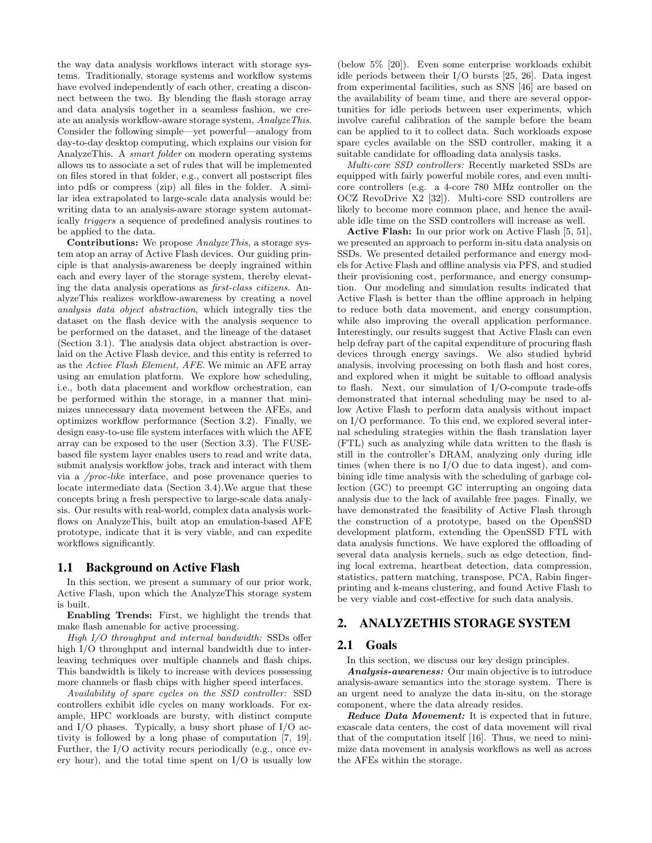the way data analysis workflows interact with storage systems. Traditionally, storage systems and workflow systems have evolved independently of each other, creating a disconnect between the two. By blending the flash storage array and data analysis together in a seamless fashion, we create an analysis workflow-aware storage system, AnalyzeThis. Consider the following simple—yet powerful—analogy from day-to-day desktop computing, which explains our vision for AnalyzeThis. A smart folder on modern operating systems allows us to associate a set of rules that will be implemented on files stored in that folder, e.g., convert all postscript files into pdfs or compress (zip) all files in the folder. A similar idea extrapolated to large-scale data analysis would be: writing data to an analysis-aware storage system automatically triggers a sequence of predefined analysis routines to be applied to the data.

Contributions: We propose AnalyzeThis, a storage system atop an array of Active Flash devices. Our guiding principle is that analysis-awareness be deeply ingrained within each and every layer of the storage system, thereby elevating the data analysis operations as first-class citizens. AnalyzeThis realizes workflow-awareness by creating a novel analysis data object abstraction, which integrally ties the dataset on the flash device with the analysis sequence to be performed on the dataset, and the lineage of the dataset (Section 3.1). The analysis data object abstraction is overlaid on the Active Flash device, and this entity is referred to as the Active Flash Element, AFE. We mimic an AFE array using an emulation platform. We explore how scheduling, i.e., both data placement and workflow orchestration, can be performed within the storage, in a manner that minimizes unnecessary data movement between the AFEs, and optimizes workflow performance (Section 3.2). Finally, we design easy-to-use file system interfaces with which the AFE array can be exposed to the user (Section 3.3). The FUSEbased file system layer enables users to read and write data, submit analysis workflow jobs, track and interact with them via a /proc-like interface, and pose provenance queries to locate intermediate data (Section 3.4).We argue that these concepts bring a fresh perspective to large-scale data analysis. Our results with real-world, complex data analysis workflows on AnalyzeThis, built atop an emulation-based AFE prototype, indicate that it is very viable, and can expedite workflows significantly.

## 1.1 Background on Active Flash

In this section, we present a summary of our prior work. Active Flash, upon which the AnalyzeThis storage system is built.

Enabling Trends: First, we highlight the trends that make flash amenable for active processing.

High I/O throughput and internal bandwidth: SSDs offer high I/O throughput and internal bandwidth due to interleaving techniques over multiple channels and flash chips. This bandwidth is likely to increase with devices possessing more channels or flash chips with higher speed interfaces.

Availability of spare cycles on the SSD controller: SSD controllers exhibit idle cycles on many workloads. For example, HPC workloads are bursty, with distinct compute and I/O phases. Typically, a busy short phase of I/O activity is followed by a long phase of computation [7, 19]. Further, the I/O activity recurs periodically (e.g., once every hour), and the total time spent on I/O is usually low (below 5% [20]). Even some enterprise workloads exhibit idle periods between their I/O bursts [25, 26]. Data ingest from experimental facilities, such as SNS [46] are based on the availability of beam time, and there are several opportunities for idle periods between user experiments, which involve careful calibration of the sample before the beam can be applied to it to collect data. Such workloads expose spare cycles available on the SSD controller, making it a suitable candidate for offloading data analysis tasks.

Multi-core SSD controllers: Recently marketed SSDs are equipped with fairly powerful mobile cores, and even multicore controllers (e.g. a 4-core 780 MHz controller on the OCZ RevoDrive X2 [32]). Multi-core SSD controllers are likely to become more common place, and hence the available idle time on the SSD controllers will increase as well.

Active Flash: In our prior work on Active Flash [5, 51], we presented an approach to perform in-situ data analysis on SSDs. We presented detailed performance and energy models for Active Flash and offline analysis via PFS, and studied their provisioning cost, performance, and energy consumption. Our modeling and simulation results indicated that Active Flash is better than the offline approach in helping to reduce both data movement, and energy consumption, while also improving the overall application performance. Interestingly, our results suggest that Active Flash can even help defray part of the capital expenditure of procuring flash devices through energy savings. We also studied hybrid analysis, involving processing on both flash and host cores, and explored when it might be suitable to offload analysis to flash. Next, our simulation of I/O-compute trade-offs demonstrated that internal scheduling may be used to allow Active Flash to perform data analysis without impact on I/O performance. To this end, we explored several internal scheduling strategies within the flash translation layer (FTL) such as analyzing while data written to the flash is still in the controller's DRAM, analyzing only during idle times (when there is no I/O due to data ingest), and combining idle time analysis with the scheduling of garbage collection (GC) to preempt GC interrupting an ongoing data analysis due to the lack of available free pages. Finally, we have demonstrated the feasibility of Active Flash through the construction of a prototype, based on the OpenSSD development platform, extending the OpenSSD FTL with data analysis functions. We have explored the offloading of several data analysis kernels, such as edge detection, finding local extrema, heartbeat detection, data compression, statistics, pattern matching, transpose, PCA, Rabin fingerprinting and k-means clustering, and found Active Flash to be very viable and cost-effective for such data analysis.

# 2. ANALYZETHIS STORAGE SYSTEM

## 2.1 Goals

In this section, we discuss our key design principles.

Analysis-awareness: Our main objective is to introduce analysis-aware semantics into the storage system. There is an urgent need to analyze the data in-situ, on the storage component, where the data already resides.

Reduce Data Movement: It is expected that in future, exascale data centers, the cost of data movement will rival that of the computation itself [16]. Thus, we need to minimize data movement in analysis workflows as well as across the AFEs within the storage.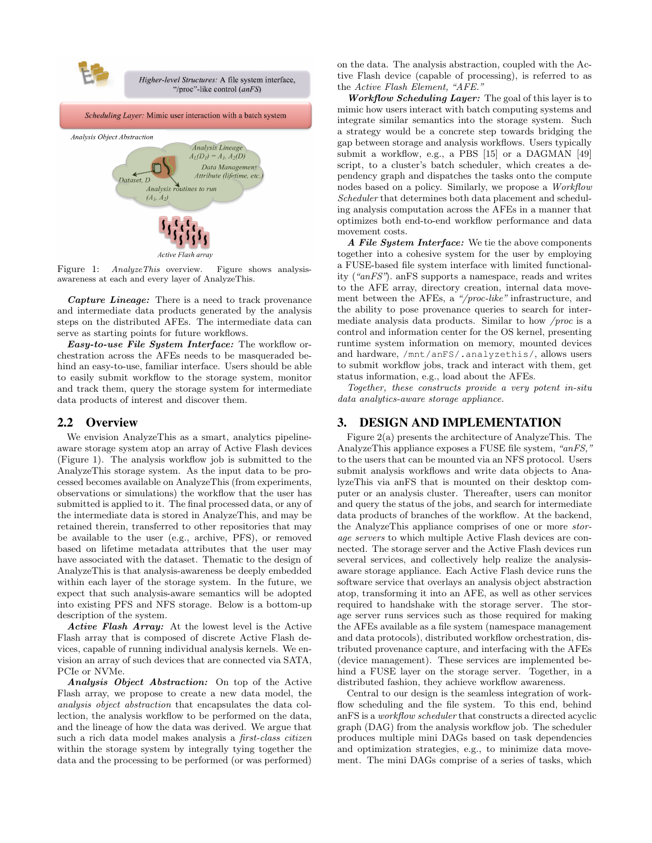

Figure 1: AnalyzeThis overview. Figure shows analysisawareness at each and every layer of AnalyzeThis.

Capture Lineage: There is a need to track provenance and intermediate data products generated by the analysis steps on the distributed AFEs. The intermediate data can serve as starting points for future workflows.

Easy-to-use File System Interface: The workflow orchestration across the AFEs needs to be masqueraded behind an easy-to-use, familiar interface. Users should be able to easily submit workflow to the storage system, monitor and track them, query the storage system for intermediate data products of interest and discover them.

## 2.2 Overview

We envision AnalyzeThis as a smart, analytics pipelineaware storage system atop an array of Active Flash devices (Figure 1). The analysis workflow job is submitted to the AnalyzeThis storage system. As the input data to be processed becomes available on AnalyzeThis (from experiments, observations or simulations) the workflow that the user has submitted is applied to it. The final processed data, or any of the intermediate data is stored in AnalyzeThis, and may be retained therein, transferred to other repositories that may be available to the user (e.g., archive, PFS), or removed based on lifetime metadata attributes that the user may have associated with the dataset. Thematic to the design of AnalyzeThis is that analysis-awareness be deeply embedded within each layer of the storage system. In the future, we expect that such analysis-aware semantics will be adopted into existing PFS and NFS storage. Below is a bottom-up description of the system.

Active Flash Array: At the lowest level is the Active Flash array that is composed of discrete Active Flash devices, capable of running individual analysis kernels. We envision an array of such devices that are connected via SATA, PCIe or NVMe.

Analysis Object Abstraction: On top of the Active Flash array, we propose to create a new data model, the analysis object abstraction that encapsulates the data collection, the analysis workflow to be performed on the data, and the lineage of how the data was derived. We argue that such a rich data model makes analysis a first-class citizen within the storage system by integrally tying together the data and the processing to be performed (or was performed)

on the data. The analysis abstraction, coupled with the Active Flash device (capable of processing), is referred to as the Active Flash Element, "AFE."

Workflow Scheduling Layer: The goal of this layer is to mimic how users interact with batch computing systems and integrate similar semantics into the storage system. Such a strategy would be a concrete step towards bridging the gap between storage and analysis workflows. Users typically submit a workflow, e.g., a PBS [15] or a DAGMAN [49] script, to a cluster's batch scheduler, which creates a dependency graph and dispatches the tasks onto the compute nodes based on a policy. Similarly, we propose a Workflow Scheduler that determines both data placement and scheduling analysis computation across the AFEs in a manner that optimizes both end-to-end workflow performance and data movement costs.

A File System Interface: We tie the above components together into a cohesive system for the user by employing a FUSE-based file system interface with limited functionality ("anFS"). anFS supports a namespace, reads and writes to the AFE array, directory creation, internal data movement between the AFEs, a "/proc-like" infrastructure, and the ability to pose provenance queries to search for intermediate analysis data products. Similar to how /proc is a control and information center for the OS kernel, presenting runtime system information on memory, mounted devices and hardware, /mnt/anFS/.analyzethis/, allows users to submit workflow jobs, track and interact with them, get status information, e.g., load about the AFEs.

Together, these constructs provide a very potent in-situ data analytics-aware storage appliance.

# 3. DESIGN AND IMPLEMENTATION

Figure 2(a) presents the architecture of AnalyzeThis. The AnalyzeThis appliance exposes a FUSE file system, "anFS," to the users that can be mounted via an NFS protocol. Users submit analysis workflows and write data objects to AnalyzeThis via anFS that is mounted on their desktop computer or an analysis cluster. Thereafter, users can monitor and query the status of the jobs, and search for intermediate data products of branches of the workflow. At the backend, the AnalyzeThis appliance comprises of one or more storage servers to which multiple Active Flash devices are connected. The storage server and the Active Flash devices run several services, and collectively help realize the analysisaware storage appliance. Each Active Flash device runs the software service that overlays an analysis object abstraction atop, transforming it into an AFE, as well as other services required to handshake with the storage server. The storage server runs services such as those required for making the AFEs available as a file system (namespace management and data protocols), distributed workflow orchestration, distributed provenance capture, and interfacing with the AFEs (device management). These services are implemented behind a FUSE layer on the storage server. Together, in a distributed fashion, they achieve workflow awareness.

Central to our design is the seamless integration of workflow scheduling and the file system. To this end, behind anFS is a workflow scheduler that constructs a directed acyclic graph (DAG) from the analysis workflow job. The scheduler produces multiple mini DAGs based on task dependencies and optimization strategies, e.g., to minimize data movement. The mini DAGs comprise of a series of tasks, which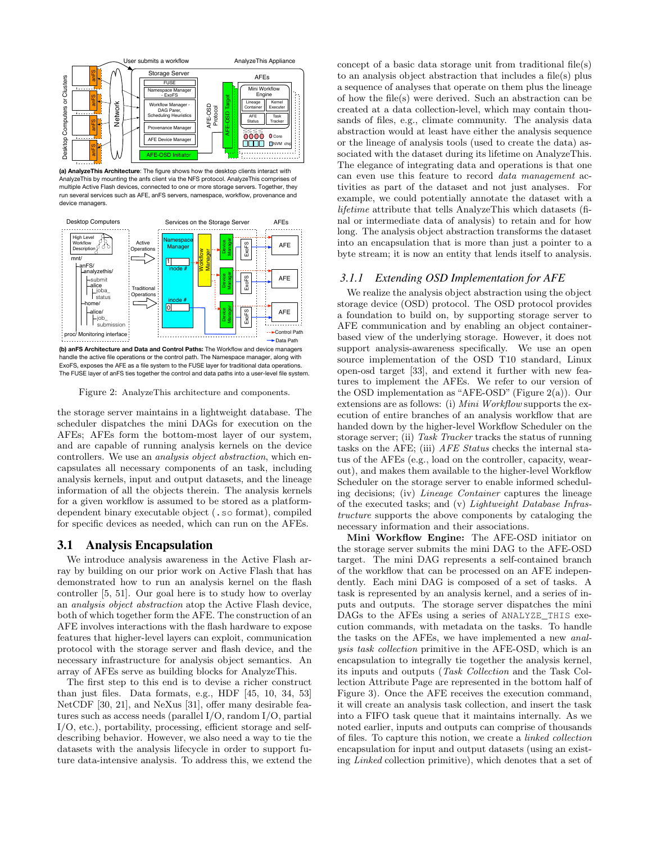

**(a) AnalyzeThis Architecture**: The figure shows how the desktop clients interact with AnalyzeThis by mounting the anfs client via the NFS protocol. AnalyzeThis comprises of multiple Active Flash devices, connected to one or more storage servers. Together, they run several services such as AFE, anFS servers, namespace, workflow, provenance and device managers.



**(b) anFS Architecture and Data and Control Paths:** The Workflow and device managers handle the active file operations or the control path. The Namespace manager, along with ExoFS, exposes the AFE as a file system to the FUSE layer for traditional data operations. The FUSE layer of anFS ties together the control and data paths into a user-level file system.

Figure 2: AnalyzeThis architecture and components.

the storage server maintains in a lightweight database. The scheduler dispatches the mini DAGs for execution on the AFEs; AFEs form the bottom-most layer of our system, and are capable of running analysis kernels on the device controllers. We use an analysis object abstraction, which encapsulates all necessary components of an task, including analysis kernels, input and output datasets, and the lineage information of all the objects therein. The analysis kernels for a given workflow is assumed to be stored as a platformdependent binary executable object (.so format), compiled for specific devices as needed, which can run on the AFEs.

#### 3.1 Analysis Encapsulation

We introduce analysis awareness in the Active Flash array by building on our prior work on Active Flash that has demonstrated how to run an analysis kernel on the flash controller [5, 51]. Our goal here is to study how to overlay an analysis object abstraction atop the Active Flash device, both of which together form the AFE. The construction of an AFE involves interactions with the flash hardware to expose features that higher-level layers can exploit, communication protocol with the storage server and flash device, and the necessary infrastructure for analysis object semantics. An array of AFEs serve as building blocks for AnalyzeThis.

The first step to this end is to devise a richer construct than just files. Data formats, e.g., HDF [45, 10, 34, 53] NetCDF [30, 21], and NeXus [31], offer many desirable features such as access needs (parallel I/O, random I/O, partial I/O, etc.), portability, processing, efficient storage and selfdescribing behavior. However, we also need a way to tie the datasets with the analysis lifecycle in order to support future data-intensive analysis. To address this, we extend the concept of a basic data storage unit from traditional file(s) to an analysis object abstraction that includes a file(s) plus a sequence of analyses that operate on them plus the lineage of how the file(s) were derived. Such an abstraction can be created at a data collection-level, which may contain thousands of files, e.g., climate community. The analysis data abstraction would at least have either the analysis sequence or the lineage of analysis tools (used to create the data) associated with the dataset during its lifetime on AnalyzeThis. The elegance of integrating data and operations is that one can even use this feature to record data management activities as part of the dataset and not just analyses. For example, we could potentially annotate the dataset with a lifetime attribute that tells AnalyzeThis which datasets (final or intermediate data of analysis) to retain and for how long. The analysis object abstraction transforms the dataset into an encapsulation that is more than just a pointer to a byte stream; it is now an entity that lends itself to analysis.

#### *3.1.1 Extending OSD Implementation for AFE*

We realize the analysis object abstraction using the object storage device (OSD) protocol. The OSD protocol provides a foundation to build on, by supporting storage server to AFE communication and by enabling an object containerbased view of the underlying storage. However, it does not support analysis-awareness specifically. We use an open source implementation of the OSD T10 standard, Linux open-osd target [33], and extend it further with new features to implement the AFEs. We refer to our version of the OSD implementation as "AFE-OSD" (Figure 2(a)). Our extensions are as follows: (i) Mini Workflow supports the execution of entire branches of an analysis workflow that are handed down by the higher-level Workflow Scheduler on the storage server; (ii) Task Tracker tracks the status of running tasks on the AFE; (iii) AFE Status checks the internal status of the AFEs (e.g., load on the controller, capacity, wearout), and makes them available to the higher-level Workflow Scheduler on the storage server to enable informed scheduling decisions; (iv) Lineage Container captures the lineage of the executed tasks; and (v) Lightweight Database Infrastructure supports the above components by cataloging the necessary information and their associations.

Mini Workflow Engine: The AFE-OSD initiator on the storage server submits the mini DAG to the AFE-OSD target. The mini DAG represents a self-contained branch of the workflow that can be processed on an AFE independently. Each mini DAG is composed of a set of tasks. A task is represented by an analysis kernel, and a series of inputs and outputs. The storage server dispatches the mini DAGs to the AFEs using a series of ANALYZE\_THIS execution commands, with metadata on the tasks. To handle the tasks on the AFEs, we have implemented a new analysis task collection primitive in the AFE-OSD, which is an encapsulation to integrally tie together the analysis kernel, its inputs and outputs (Task Collection and the Task Collection Attribute Page are represented in the bottom half of Figure 3). Once the AFE receives the execution command, it will create an analysis task collection, and insert the task into a FIFO task queue that it maintains internally. As we noted earlier, inputs and outputs can comprise of thousands of files. To capture this notion, we create a linked collection encapsulation for input and output datasets (using an existing Linked collection primitive), which denotes that a set of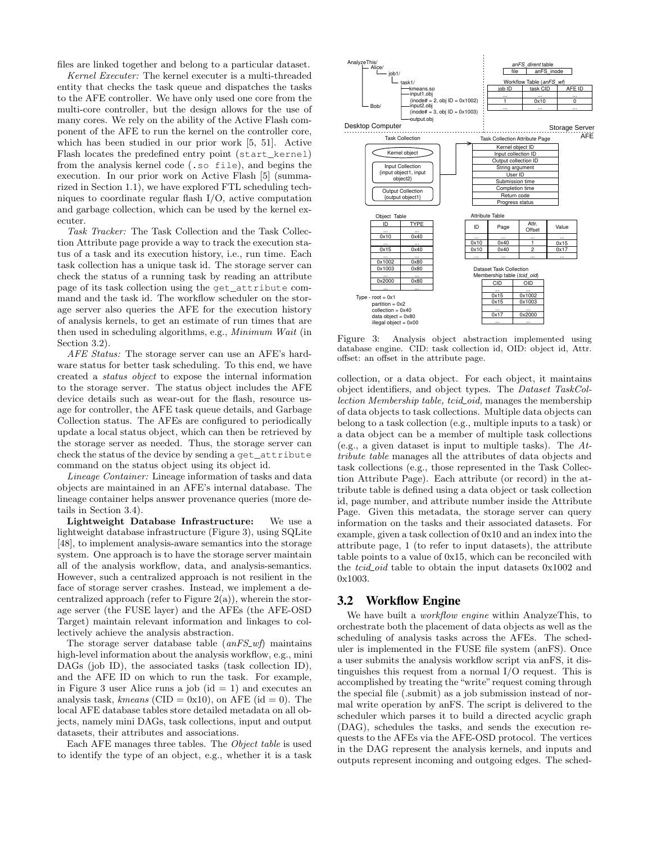files are linked together and belong to a particular dataset.

Kernel Executer: The kernel executer is a multi-threaded entity that checks the task queue and dispatches the tasks to the AFE controller. We have only used one core from the multi-core controller, but the design allows for the use of many cores. We rely on the ability of the Active Flash component of the AFE to run the kernel on the controller core, which has been studied in our prior work [5, 51]. Active Flash locates the predefined entry point (start\_kernel) from the analysis kernel code (.so file), and begins the execution. In our prior work on Active Flash [5] (summarized in Section 1.1), we have explored FTL scheduling techniques to coordinate regular flash I/O, active computation and garbage collection, which can be used by the kernel executer.

Task Tracker: The Task Collection and the Task Collection Attribute page provide a way to track the execution status of a task and its execution history, i.e., run time. Each task collection has a unique task id. The storage server can check the status of a running task by reading an attribute page of its task collection using the get\_attribute command and the task id. The workflow scheduler on the storage server also queries the AFE for the execution history of analysis kernels, to get an estimate of run times that are then used in scheduling algorithms, e.g., Minimum Wait (in Section 3.2).

AFE Status: The storage server can use an AFE's hardware status for better task scheduling. To this end, we have created a status object to expose the internal information to the storage server. The status object includes the AFE device details such as wear-out for the flash, resource usage for controller, the AFE task queue details, and Garbage Collection status. The AFEs are configured to periodically update a local status object, which can then be retrieved by the storage server as needed. Thus, the storage server can check the status of the device by sending a get\_attribute command on the status object using its object id.

Lineage Container: Lineage information of tasks and data objects are maintained in an AFE's internal database. The lineage container helps answer provenance queries (more details in Section 3.4).

Lightweight Database Infrastructure: We use a lightweight database infrastructure (Figure 3), using SQLite [48], to implement analysis-aware semantics into the storage system. One approach is to have the storage server maintain all of the analysis workflow, data, and analysis-semantics. However, such a centralized approach is not resilient in the face of storage server crashes. Instead, we implement a decentralized approach (refer to Figure  $2(a)$ ), wherein the storage server (the FUSE layer) and the AFEs (the AFE-OSD Target) maintain relevant information and linkages to collectively achieve the analysis abstraction.

The storage server database table  $(anFS_wf)$  maintains high-level information about the analysis workflow, e.g., mini DAGs (job ID), the associated tasks (task collection ID), and the AFE ID on which to run the task. For example, in Figure 3 user Alice runs a job  $(id = 1)$  and executes an analysis task, kmeans (CID = 0x10), on AFE (id = 0). The local AFE database tables store detailed metadata on all objects, namely mini DAGs, task collections, input and output datasets, their attributes and associations.

Each AFE manages three tables. The Object table is used to identify the type of an object, e.g., whether it is a task



Figure 3: Analysis object abstraction implemented using database engine. CID: task collection id, OID: object id, Attr. offset: an offset in the attribute page.

collection, or a data object. For each object, it maintains object identifiers, and object types. The Dataset TaskCollection Membership table, tcid<sub>coid</sub>, manages the membership of data objects to task collections. Multiple data objects can belong to a task collection (e.g., multiple inputs to a task) or a data object can be a member of multiple task collections (e.g., a given dataset is input to multiple tasks). The Attribute table manages all the attributes of data objects and task collections (e.g., those represented in the Task Collection Attribute Page). Each attribute (or record) in the attribute table is defined using a data object or task collection id, page number, and attribute number inside the Attribute Page. Given this metadata, the storage server can query information on the tasks and their associated datasets. For example, given a task collection of 0x10 and an index into the attribute page, 1 (to refer to input datasets), the attribute table points to a value of 0x15, which can be reconciled with the *tcid* oid table to obtain the input datasets 0x1002 and 0x1003.

#### 3.2 Workflow Engine

We have built a *workflow engine* within AnalyzeThis, to orchestrate both the placement of data objects as well as the scheduling of analysis tasks across the AFEs. The scheduler is implemented in the FUSE file system (anFS). Once a user submits the analysis workflow script via anFS, it distinguishes this request from a normal I/O request. This is accomplished by treating the "write" request coming through the special file (.submit) as a job submission instead of normal write operation by anFS. The script is delivered to the scheduler which parses it to build a directed acyclic graph (DAG), schedules the tasks, and sends the execution requests to the AFEs via the AFE-OSD protocol. The vertices in the DAG represent the analysis kernels, and inputs and outputs represent incoming and outgoing edges. The sched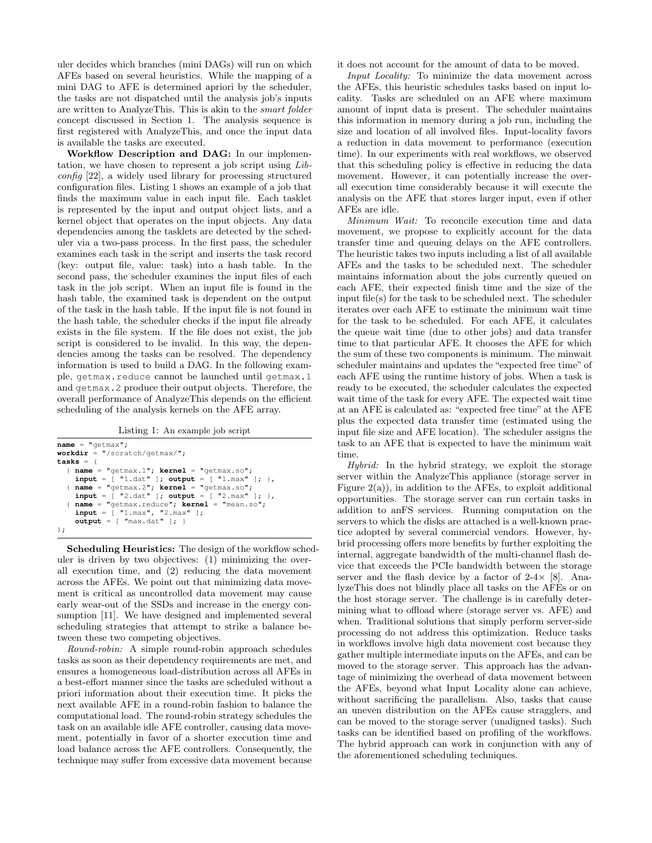uler decides which branches (mini DAGs) will run on which AFEs based on several heuristics. While the mapping of a mini DAG to AFE is determined apriori by the scheduler, the tasks are not dispatched until the analysis job's inputs are written to AnalyzeThis. This is akin to the smart folder concept discussed in Section 1. The analysis sequence is first registered with AnalyzeThis, and once the input data is available the tasks are executed.

Workflow Description and DAG: In our implementation, we have chosen to represent a job script using Libconfig [22], a widely used library for processing structured configuration files. Listing 1 shows an example of a job that finds the maximum value in each input file. Each tasklet is represented by the input and output object lists, and a kernel object that operates on the input objects. Any data dependencies among the tasklets are detected by the scheduler via a two-pass process. In the first pass, the scheduler examines each task in the script and inserts the task record (key: output file, value: task) into a hash table. In the second pass, the scheduler examines the input files of each task in the job script. When an input file is found in the hash table, the examined task is dependent on the output of the task in the hash table. If the input file is not found in the hash table, the scheduler checks if the input file already exists in the file system. If the file does not exist, the job script is considered to be invalid. In this way, the dependencies among the tasks can be resolved. The dependency information is used to build a DAG. In the following example, getmax.reduce cannot be launched until getmax.1 and getmax.2 produce their output objects. Therefore, the overall performance of AnalyzeThis depends on the efficient scheduling of the analysis kernels on the AFE array.

Listing 1: An example job script

```
name = "getmax";
workdir = "/scratch/getmax/";
tasks = (
  { name = "getmax.1"; kernel = "getmax.so";
   input = [ "1.dat" ]; output = [ "1.max" ]; },
{ name = "getmax.2"; kernel = "getmax.so";
     input = [ "2.dat" ]; output = [ "2.max" ]; },
   { name = "getmax.reduce"; kernel = "mean.so";
input = [ "1.max", "2.max" ];
     output = [ "max.dat" ]; }
);
```
Scheduling Heuristics: The design of the workflow scheduler is driven by two objectives: (1) minimizing the overall execution time, and (2) reducing the data movement across the AFEs. We point out that minimizing data movement is critical as uncontrolled data movement may cause early wear-out of the SSDs and increase in the energy consumption [11]. We have designed and implemented several scheduling strategies that attempt to strike a balance between these two competing objectives.

Round-robin: A simple round-robin approach schedules tasks as soon as their dependency requirements are met, and ensures a homogeneous load-distribution across all AFEs in a best-effort manner since the tasks are scheduled without a priori information about their execution time. It picks the next available AFE in a round-robin fashion to balance the computational load. The round-robin strategy schedules the task on an available idle AFE controller, causing data movement, potentially in favor of a shorter execution time and load balance across the AFE controllers. Consequently, the technique may suffer from excessive data movement because it does not account for the amount of data to be moved.

Input Locality: To minimize the data movement across the AFEs, this heuristic schedules tasks based on input locality. Tasks are scheduled on an AFE where maximum amount of input data is present. The scheduler maintains this information in memory during a job run, including the size and location of all involved files. Input-locality favors a reduction in data movement to performance (execution time). In our experiments with real workflows, we observed that this scheduling policy is effective in reducing the data movement. However, it can potentially increase the overall execution time considerably because it will execute the analysis on the AFE that stores larger input, even if other AFEs are idle.

Minimum Wait: To reconcile execution time and data movement, we propose to explicitly account for the data transfer time and queuing delays on the AFE controllers. The heuristic takes two inputs including a list of all available AFEs and the tasks to be scheduled next. The scheduler maintains information about the jobs currently queued on each AFE, their expected finish time and the size of the input file(s) for the task to be scheduled next. The scheduler iterates over each AFE to estimate the minimum wait time for the task to be scheduled. For each AFE, it calculates the queue wait time (due to other jobs) and data transfer time to that particular AFE. It chooses the AFE for which the sum of these two components is minimum. The minwait scheduler maintains and updates the "expected free time" of each AFE using the runtime history of jobs. When a task is ready to be executed, the scheduler calculates the expected wait time of the task for every AFE. The expected wait time at an AFE is calculated as: "expected free time" at the AFE plus the expected data transfer time (estimated using the input file size and AFE location). The scheduler assigns the task to an AFE that is expected to have the minimum wait time.

Hybrid: In the hybrid strategy, we exploit the storage server within the AnalyzeThis appliance (storage server in Figure  $2(a)$ , in addition to the AFEs, to exploit additional opportunities. The storage server can run certain tasks in addition to anFS services. Running computation on the servers to which the disks are attached is a well-known practice adopted by several commercial vendors. However, hybrid processing offers more benefits by further exploiting the internal, aggregate bandwidth of the multi-channel flash device that exceeds the PCIe bandwidth between the storage server and the flash device by a factor of  $2-4\times$  [8]. AnalyzeThis does not blindly place all tasks on the AFEs or on the host storage server. The challenge is in carefully determining what to offload where (storage server vs. AFE) and when. Traditional solutions that simply perform server-side processing do not address this optimization. Reduce tasks in workflows involve high data movement cost because they gather multiple intermediate inputs on the AFEs, and can be moved to the storage server. This approach has the advantage of minimizing the overhead of data movement between the AFEs, beyond what Input Locality alone can achieve, without sacrificing the parallelism. Also, tasks that cause an uneven distribution on the AFEs cause stragglers, and can be moved to the storage server (unaligned tasks). Such tasks can be identified based on profiling of the workflows. The hybrid approach can work in conjunction with any of the aforementioned scheduling techniques.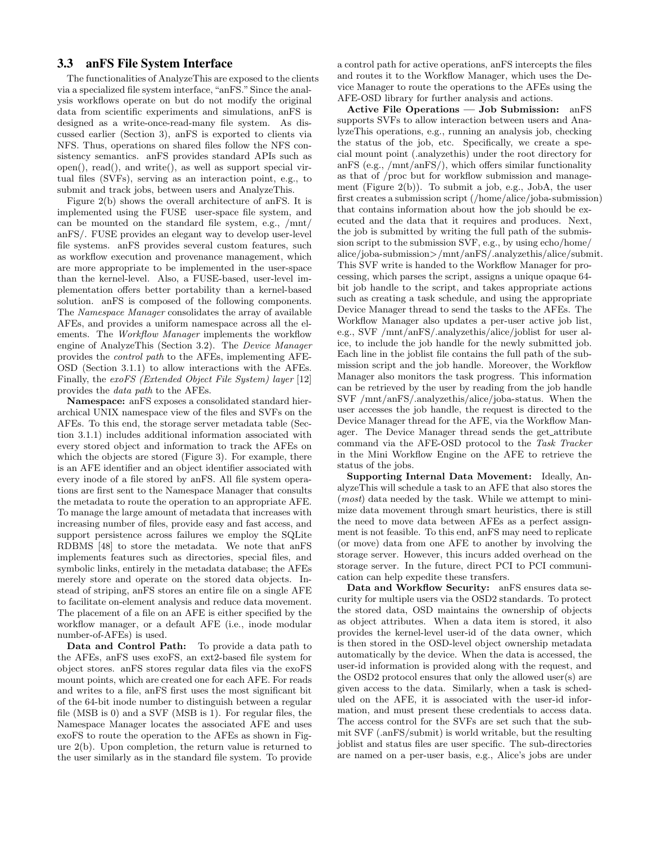# 3.3 anFS File System Interface

The functionalities of AnalyzeThis are exposed to the clients via a specialized file system interface, "anFS." Since the analysis workflows operate on but do not modify the original data from scientific experiments and simulations, anFS is designed as a write-once-read-many file system. As discussed earlier (Section 3), anFS is exported to clients via NFS. Thus, operations on shared files follow the NFS consistency semantics. anFS provides standard APIs such as open(), read(), and write(), as well as support special virtual files (SVFs), serving as an interaction point, e.g., to submit and track jobs, between users and AnalyzeThis.

Figure 2(b) shows the overall architecture of anFS. It is implemented using the FUSE user-space file system, and can be mounted on the standard file system, e.g., /mnt/ anFS/. FUSE provides an elegant way to develop user-level file systems. anFS provides several custom features, such as workflow execution and provenance management, which are more appropriate to be implemented in the user-space than the kernel-level. Also, a FUSE-based, user-level implementation offers better portability than a kernel-based solution. anFS is composed of the following components. The Namespace Manager consolidates the array of available AFEs, and provides a uniform namespace across all the elements. The Workflow Manager implements the workflow engine of AnalyzeThis (Section 3.2). The Device Manager provides the control path to the AFEs, implementing AFE-OSD (Section 3.1.1) to allow interactions with the AFEs. Finally, the exoFS (Extended Object File System) layer [12] provides the data path to the AFEs.

Namespace: anFS exposes a consolidated standard hierarchical UNIX namespace view of the files and SVFs on the AFEs. To this end, the storage server metadata table (Section 3.1.1) includes additional information associated with every stored object and information to track the AFEs on which the objects are stored (Figure 3). For example, there is an AFE identifier and an object identifier associated with every inode of a file stored by anFS. All file system operations are first sent to the Namespace Manager that consults the metadata to route the operation to an appropriate AFE. To manage the large amount of metadata that increases with increasing number of files, provide easy and fast access, and support persistence across failures we employ the SQLite RDBMS [48] to store the metadata. We note that anFS implements features such as directories, special files, and symbolic links, entirely in the metadata database; the AFEs merely store and operate on the stored data objects. Instead of striping, anFS stores an entire file on a single AFE to facilitate on-element analysis and reduce data movement. The placement of a file on an AFE is either specified by the workflow manager, or a default AFE (i.e., inode modular number-of-AFEs) is used.

Data and Control Path: To provide a data path to the AFEs, anFS uses exoFS, an ext2-based file system for object stores. anFS stores regular data files via the exoFS mount points, which are created one for each AFE. For reads and writes to a file, anFS first uses the most significant bit of the 64-bit inode number to distinguish between a regular file (MSB is 0) and a SVF (MSB is 1). For regular files, the Namespace Manager locates the associated AFE and uses exoFS to route the operation to the AFEs as shown in Figure 2(b). Upon completion, the return value is returned to the user similarly as in the standard file system. To provide a control path for active operations, anFS intercepts the files and routes it to the Workflow Manager, which uses the Device Manager to route the operations to the AFEs using the AFE-OSD library for further analysis and actions.

Active File Operations — Job Submission: anFS supports SVFs to allow interaction between users and AnalyzeThis operations, e.g., running an analysis job, checking the status of the job, etc. Specifically, we create a special mount point (.analyzethis) under the root directory for anFS (e.g., /mnt/anFS/), which offers similar functionality as that of /proc but for workflow submission and management (Figure 2(b)). To submit a job, e.g., JobA, the user first creates a submission script (/home/alice/joba-submission) that contains information about how the job should be executed and the data that it requires and produces. Next, the job is submitted by writing the full path of the submission script to the submission SVF, e.g., by using echo/home/ alice/joba-submission>/mnt/anFS/.analyzethis/alice/submit. This SVF write is handed to the Workflow Manager for processing, which parses the script, assigns a unique opaque 64 bit job handle to the script, and takes appropriate actions such as creating a task schedule, and using the appropriate Device Manager thread to send the tasks to the AFEs. The Workflow Manager also updates a per-user active job list, e.g., SVF /mnt/anFS/.analyzethis/alice/joblist for user alice, to include the job handle for the newly submitted job. Each line in the joblist file contains the full path of the submission script and the job handle. Moreover, the Workflow Manager also monitors the task progress. This information can be retrieved by the user by reading from the job handle SVF /mnt/anFS/.analyzethis/alice/joba-status. When the user accesses the job handle, the request is directed to the Device Manager thread for the AFE, via the Workflow Manager. The Device Manager thread sends the get\_attribute command via the AFE-OSD protocol to the Task Tracker in the Mini Workflow Engine on the AFE to retrieve the status of the jobs.

Supporting Internal Data Movement: Ideally, AnalyzeThis will schedule a task to an AFE that also stores the (most) data needed by the task. While we attempt to minimize data movement through smart heuristics, there is still the need to move data between AFEs as a perfect assignment is not feasible. To this end, anFS may need to replicate (or move) data from one AFE to another by involving the storage server. However, this incurs added overhead on the storage server. In the future, direct PCI to PCI communication can help expedite these transfers.

Data and Workflow Security: anFS ensures data security for multiple users via the OSD2 standards. To protect the stored data, OSD maintains the ownership of objects as object attributes. When a data item is stored, it also provides the kernel-level user-id of the data owner, which is then stored in the OSD-level object ownership metadata automatically by the device. When the data is accessed, the user-id information is provided along with the request, and the OSD2 protocol ensures that only the allowed user(s) are given access to the data. Similarly, when a task is scheduled on the AFE, it is associated with the user-id information, and must present these credentials to access data. The access control for the SVFs are set such that the submit SVF (.anFS/submit) is world writable, but the resulting joblist and status files are user specific. The sub-directories are named on a per-user basis, e.g., Alice's jobs are under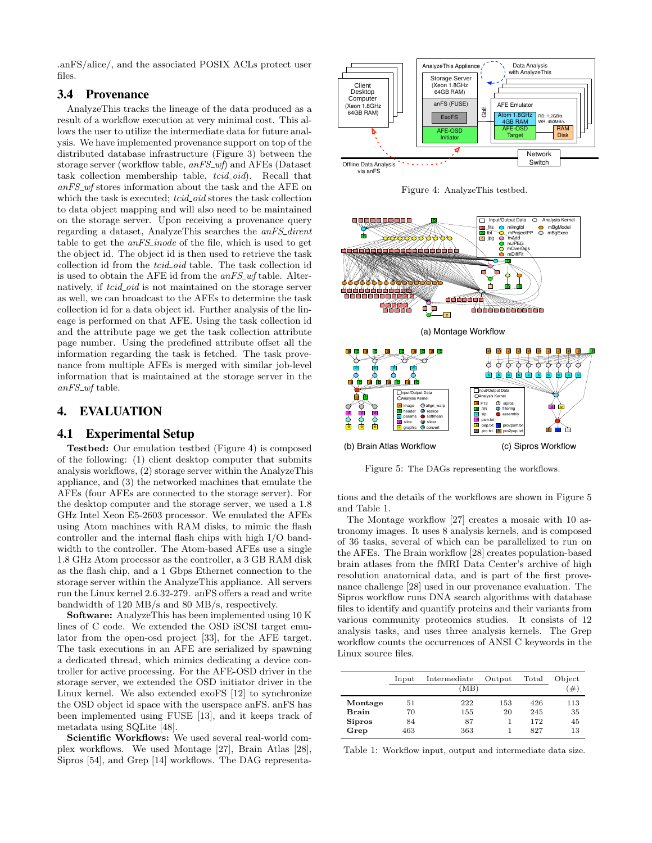.anFS/alice/, and the associated POSIX ACLs protect user files.

# 3.4 Provenance

AnalyzeThis tracks the lineage of the data produced as a result of a workflow execution at very minimal cost. This allows the user to utilize the intermediate data for future analysis. We have implemented provenance support on top of the distributed database infrastructure (Figure 3) between the storage server (workflow table,  $anFS_{\text{w}}f$ ) and AFEs (Dataset task collection membership table, tcid\_oid). Recall that  $anFS_wf$  stores information about the task and the AFE on which the task is executed;  $tcid\_oid$  stores the task collection to data object mapping and will also need to be maintained on the storage server. Upon receiving a provenance query regarding a dataset, AnalyzeThis searches the anFS dirent table to get the  $anFS\_inode$  of the file, which is used to get the object id. The object id is then used to retrieve the task collection id from the *tcid\_oid* table. The task collection id is used to obtain the AFE id from the  $anFS_wf$  table. Alternatively, if *tcid<sub>coid</sub>* is not maintained on the storage server as well, we can broadcast to the AFEs to determine the task collection id for a data object id. Further analysis of the lineage is performed on that AFE. Using the task collection id and the attribute page we get the task collection attribute page number. Using the predefined attribute offset all the information regarding the task is fetched. The task provenance from multiple AFEs is merged with similar job-level information that is maintained at the storage server in the  $anFS_wf$  table.

# 4. EVALUATION

## 4.1 Experimental Setup

Testbed: Our emulation testbed (Figure 4) is composed of the following: (1) client desktop computer that submits analysis workflows, (2) storage server within the AnalyzeThis appliance, and (3) the networked machines that emulate the AFEs (four AFEs are connected to the storage server). For the desktop computer and the storage server, we used a 1.8 GHz Intel Xeon E5-2603 processor. We emulated the AFEs using Atom machines with RAM disks, to mimic the flash controller and the internal flash chips with high I/O bandwidth to the controller. The Atom-based AFEs use a single 1.8 GHz Atom processor as the controller, a 3 GB RAM disk as the flash chip, and a 1 Gbps Ethernet connection to the storage server within the AnalyzeThis appliance. All servers run the Linux kernel 2.6.32-279. anFS offers a read and write bandwidth of 120 MB/s and 80 MB/s, respectively.

Software: AnalyzeThis has been implemented using 10 K lines of C code. We extended the OSD iSCSI target emulator from the open-osd project [33], for the AFE target. The task executions in an AFE are serialized by spawning a dedicated thread, which mimics dedicating a device controller for active processing. For the AFE-OSD driver in the storage server, we extended the OSD initiator driver in the Linux kernel. We also extended exoFS [12] to synchronize the OSD object id space with the userspace anFS. anFS has been implemented using FUSE [13], and it keeps track of metadata using SQLite [48].

Scientific Workflows: We used several real-world complex workflows. We used Montage [27], Brain Atlas [28], Sipros [54], and Grep [14] workflows. The DAG representa-



Figure 4: AnalyzeThis testbed.



Figure 5: The DAGs representing the workflows.

tions and the details of the workflows are shown in Figure 5 and Table 1.

The Montage workflow [27] creates a mosaic with 10 astronomy images. It uses 8 analysis kernels, and is composed of 36 tasks, several of which can be parallelized to run on the AFEs. The Brain workflow [28] creates population-based brain atlases from the fMRI Data Center's archive of high resolution anatomical data, and is part of the first provenance challenge [28] used in our provenance evaluation. The Sipros workflow runs DNA search algorithms with database files to identify and quantify proteins and their variants from various community proteomics studies. It consists of 12 analysis tasks, and uses three analysis kernels. The Grep workflow counts the occurrences of ANSI C keywords in the Linux source files.

|               | $_{\rm Input}$ | Intermediate | Output | Total | Object |
|---------------|----------------|--------------|--------|-------|--------|
|               |                | (MB)         |        |       | '#`    |
| Montage       | 51             | 222          | 153    | 426   | 113    |
| <b>Brain</b>  | 70             | 155          | 20     | 245   | 35     |
| <b>Sipros</b> | 84             | 87           |        | 172   | 45     |
| Grep          | 463            | 363          |        | 827   | 13     |

Table 1: Workflow input, output and intermediate data size.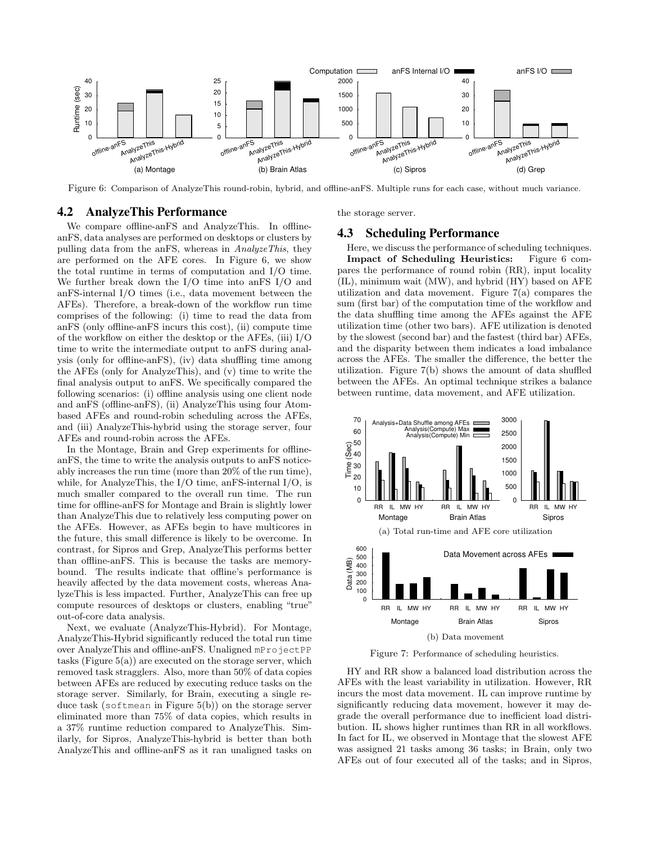

Figure 6: Comparison of AnalyzeThis round-robin, hybrid, and offline-anFS. Multiple runs for each case, without much variance.

## 4.2 AnalyzeThis Performance

the storage server.

We compare offline-anFS and AnalyzeThis. In offlineanFS, data analyses are performed on desktops or clusters by pulling data from the anFS, whereas in AnalyzeThis, they are performed on the AFE cores. In Figure 6, we show the total runtime in terms of computation and I/O time. We further break down the I/O time into anFS I/O and anFS-internal I/O times (i.e., data movement between the AFEs). Therefore, a break-down of the workflow run time comprises of the following: (i) time to read the data from anFS (only offline-anFS incurs this cost), (ii) compute time of the workflow on either the desktop or the AFEs, (iii) I/O time to write the intermediate output to anFS during analysis (only for offline-anFS), (iv) data shuffling time among the AFEs (only for AnalyzeThis), and (v) time to write the final analysis output to anFS. We specifically compared the following scenarios: (i) offline analysis using one client node and anFS (offline-anFS), (ii) AnalyzeThis using four Atombased AFEs and round-robin scheduling across the AFEs, and (iii) AnalyzeThis-hybrid using the storage server, four AFEs and round-robin across the AFEs.

In the Montage, Brain and Grep experiments for offlineanFS, the time to write the analysis outputs to anFS noticeably increases the run time (more than 20% of the run time), while, for AnalyzeThis, the I/O time, anFS-internal I/O, is much smaller compared to the overall run time. The run time for offline-anFS for Montage and Brain is slightly lower than AnalyzeThis due to relatively less computing power on the AFEs. However, as AFEs begin to have multicores in the future, this small difference is likely to be overcome. In contrast, for Sipros and Grep, AnalyzeThis performs better than offline-anFS. This is because the tasks are memorybound. The results indicate that offline's performance is heavily affected by the data movement costs, whereas AnalyzeThis is less impacted. Further, AnalyzeThis can free up compute resources of desktops or clusters, enabling "true" out-of-core data analysis.

Next, we evaluate (AnalyzeThis-Hybrid). For Montage, AnalyzeThis-Hybrid significantly reduced the total run time over AnalyzeThis and offline-anFS. Unaligned mProjectPP tasks (Figure  $5(a)$ ) are executed on the storage server, which removed task stragglers. Also, more than 50% of data copies between AFEs are reduced by executing reduce tasks on the storage server. Similarly, for Brain, executing a single reduce task (softmean in Figure 5(b)) on the storage server eliminated more than 75% of data copies, which results in a 37% runtime reduction compared to AnalyzeThis. Similarly, for Sipros, AnalyzeThis-hybrid is better than both AnalyzeThis and offline-anFS as it ran unaligned tasks on

# 4.3 Scheduling Performance

Here, we discuss the performance of scheduling techniques.<br>Impact of Scheduling Heuristics: Figure 6 com-Impact of Scheduling Heuristics: pares the performance of round robin (RR), input locality (IL), minimum wait (MW), and hybrid (HY) based on AFE utilization and data movement. Figure 7(a) compares the sum (first bar) of the computation time of the workflow and the data shuffling time among the AFEs against the AFE utilization time (other two bars). AFE utilization is denoted by the slowest (second bar) and the fastest (third bar) AFEs, and the disparity between them indicates a load imbalance across the AFEs. The smaller the difference, the better the utilization. Figure 7(b) shows the amount of data shuffled between the AFEs. An optimal technique strikes a balance between runtime, data movement, and AFE utilization.



Figure 7: Performance of scheduling heuristics.

HY and RR show a balanced load distribution across the AFEs with the least variability in utilization. However, RR incurs the most data movement. IL can improve runtime by significantly reducing data movement, however it may degrade the overall performance due to inefficient load distribution. IL shows higher runtimes than RR in all workflows. In fact for IL, we observed in Montage that the slowest AFE was assigned 21 tasks among 36 tasks; in Brain, only two AFEs out of four executed all of the tasks; and in Sipros,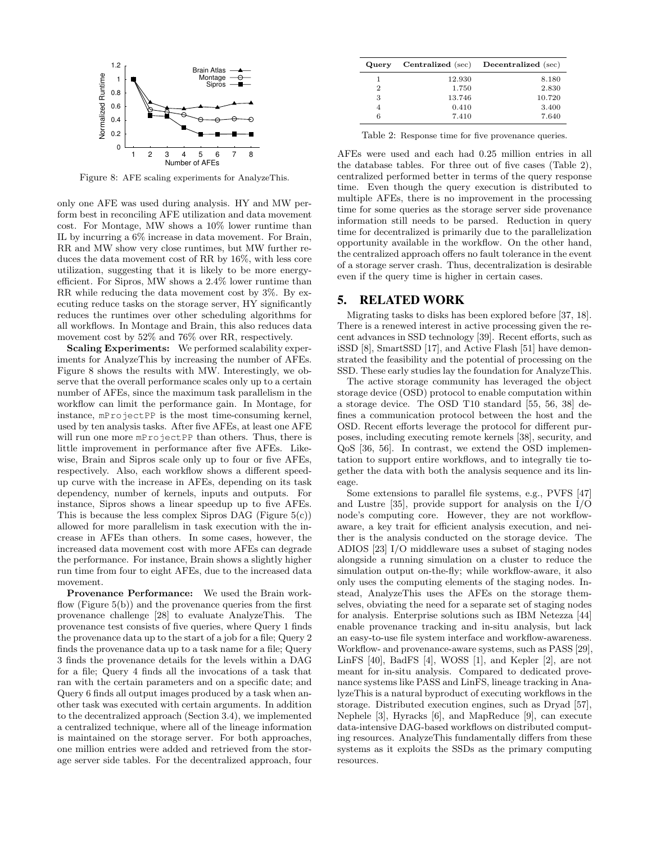

Figure 8: AFE scaling experiments for AnalyzeThis.

only one AFE was used during analysis. HY and MW perform best in reconciling AFE utilization and data movement cost. For Montage, MW shows a 10% lower runtime than IL by incurring a 6% increase in data movement. For Brain, RR and MW show very close runtimes, but MW further reduces the data movement cost of RR by 16%, with less core utilization, suggesting that it is likely to be more energyefficient. For Sipros, MW shows a 2.4% lower runtime than RR while reducing the data movement cost by 3%. By executing reduce tasks on the storage server, HY significantly reduces the runtimes over other scheduling algorithms for all workflows. In Montage and Brain, this also reduces data movement cost by 52% and 76% over RR, respectively.

Scaling Experiments: We performed scalability experiments for AnalyzeThis by increasing the number of AFEs. Figure 8 shows the results with MW. Interestingly, we observe that the overall performance scales only up to a certain number of AFEs, since the maximum task parallelism in the workflow can limit the performance gain. In Montage, for instance, mProjectPP is the most time-consuming kernel, used by ten analysis tasks. After five AFEs, at least one AFE will run one more mProjectPP than others. Thus, there is little improvement in performance after five AFEs. Likewise, Brain and Sipros scale only up to four or five AFEs, respectively. Also, each workflow shows a different speedup curve with the increase in AFEs, depending on its task dependency, number of kernels, inputs and outputs. For instance, Sipros shows a linear speedup up to five AFEs. This is because the less complex Sipros DAG (Figure  $5(c)$ ) allowed for more parallelism in task execution with the increase in AFEs than others. In some cases, however, the increased data movement cost with more AFEs can degrade the performance. For instance, Brain shows a slightly higher run time from four to eight AFEs, due to the increased data movement.

Provenance Performance: We used the Brain workflow (Figure  $5(b)$ ) and the provenance queries from the first provenance challenge [28] to evaluate AnalyzeThis. The provenance test consists of five queries, where Query 1 finds the provenance data up to the start of a job for a file; Query 2 finds the provenance data up to a task name for a file; Query 3 finds the provenance details for the levels within a DAG for a file; Query 4 finds all the invocations of a task that ran with the certain parameters and on a specific date; and Query 6 finds all output images produced by a task when another task was executed with certain arguments. In addition to the decentralized approach (Section 3.4), we implemented a centralized technique, where all of the lineage information is maintained on the storage server. For both approaches, one million entries were added and retrieved from the storage server side tables. For the decentralized approach, four

| Query          | Centralized (sec) | Decentralized (sec) |
|----------------|-------------------|---------------------|
| 1              | 12.930            | 8.180               |
| $\overline{2}$ | 1.750             | 2.830               |
| 3              | 13.746            | 10.720              |
| $\overline{4}$ | 0.410             | 3.400               |
| 6              | 7.410             | 7.640               |

Table 2: Response time for five provenance queries.

AFEs were used and each had 0.25 million entries in all the database tables. For three out of five cases (Table 2), centralized performed better in terms of the query response time. Even though the query execution is distributed to multiple AFEs, there is no improvement in the processing time for some queries as the storage server side provenance information still needs to be parsed. Reduction in query time for decentralized is primarily due to the parallelization opportunity available in the workflow. On the other hand, the centralized approach offers no fault tolerance in the event of a storage server crash. Thus, decentralization is desirable even if the query time is higher in certain cases.

## 5. RELATED WORK

Migrating tasks to disks has been explored before [37, 18]. There is a renewed interest in active processing given the recent advances in SSD technology [39]. Recent efforts, such as iSSD [8], SmartSSD [17], and Active Flash [51] have demonstrated the feasibility and the potential of processing on the SSD. These early studies lay the foundation for AnalyzeThis.

The active storage community has leveraged the object storage device (OSD) protocol to enable computation within a storage device. The OSD T10 standard [55, 56, 38] defines a communication protocol between the host and the OSD. Recent efforts leverage the protocol for different purposes, including executing remote kernels [38], security, and QoS [36, 56]. In contrast, we extend the OSD implementation to support entire workflows, and to integrally tie together the data with both the analysis sequence and its lineage.

Some extensions to parallel file systems, e.g., PVFS [47] and Lustre [35], provide support for analysis on the I/O node's computing core. However, they are not workflowaware, a key trait for efficient analysis execution, and neither is the analysis conducted on the storage device. The ADIOS [23] I/O middleware uses a subset of staging nodes alongside a running simulation on a cluster to reduce the simulation output on-the-fly; while workflow-aware, it also only uses the computing elements of the staging nodes. Instead, AnalyzeThis uses the AFEs on the storage themselves, obviating the need for a separate set of staging nodes for analysis. Enterprise solutions such as IBM Netezza [44] enable provenance tracking and in-situ analysis, but lack an easy-to-use file system interface and workflow-awareness. Workflow- and provenance-aware systems, such as PASS [29], LinFS [40], BadFS [4], WOSS [1], and Kepler [2], are not meant for in-situ analysis. Compared to dedicated provenance systems like PASS and LinFS, lineage tracking in AnalyzeThis is a natural byproduct of executing workflows in the storage. Distributed execution engines, such as Dryad [57], Nephele [3], Hyracks [6], and MapReduce [9], can execute data-intensive DAG-based workflows on distributed computing resources. AnalyzeThis fundamentally differs from these systems as it exploits the SSDs as the primary computing resources.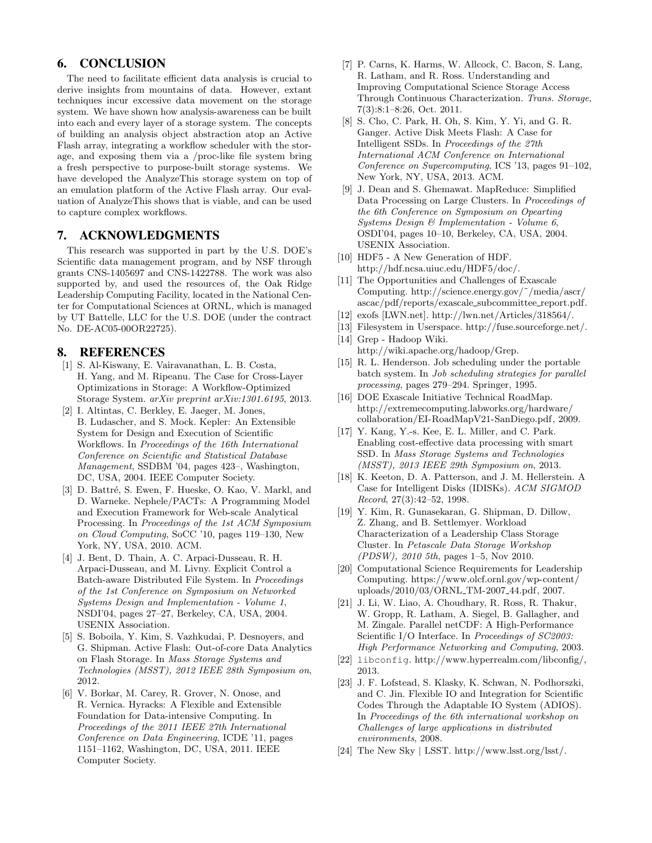# 6. CONCLUSION

The need to facilitate efficient data analysis is crucial to derive insights from mountains of data. However, extant techniques incur excessive data movement on the storage system. We have shown how analysis-awareness can be built into each and every layer of a storage system. The concepts of building an analysis object abstraction atop an Active Flash array, integrating a workflow scheduler with the storage, and exposing them via a /proc-like file system bring a fresh perspective to purpose-built storage systems. We have developed the AnalyzeThis storage system on top of an emulation platform of the Active Flash array. Our evaluation of AnalyzeThis shows that is viable, and can be used to capture complex workflows.

# 7. ACKNOWLEDGMENTS

This research was supported in part by the U.S. DOE's Scientific data management program, and by NSF through grants CNS-1405697 and CNS-1422788. The work was also supported by, and used the resources of, the Oak Ridge Leadership Computing Facility, located in the National Center for Computational Sciences at ORNL, which is managed by UT Battelle, LLC for the U.S. DOE (under the contract No. DE-AC05-00OR22725).

# 8. REFERENCES

- [1] S. Al-Kiswany, E. Vairavanathan, L. B. Costa, H. Yang, and M. Ripeanu. The Case for Cross-Layer Optimizations in Storage: A Workflow-Optimized Storage System. arXiv preprint arXiv:1301.6195, 2013.
- [2] I. Altintas, C. Berkley, E. Jaeger, M. Jones, B. Ludascher, and S. Mock. Kepler: An Extensible System for Design and Execution of Scientific Workflows. In Proceedings of the 16th International Conference on Scientific and Statistical Database Management, SSDBM '04, pages 423–, Washington, DC, USA, 2004. IEEE Computer Society.
- [3] D. Battré, S. Ewen, F. Hueske, O. Kao, V. Markl, and D. Warneke. Nephele/PACTs: A Programming Model and Execution Framework for Web-scale Analytical Processing. In Proceedings of the 1st ACM Symposium on Cloud Computing, SoCC '10, pages 119–130, New York, NY, USA, 2010. ACM.
- [4] J. Bent, D. Thain, A. C. Arpaci-Dusseau, R. H. Arpaci-Dusseau, and M. Livny. Explicit Control a Batch-aware Distributed File System. In Proceedings of the 1st Conference on Symposium on Networked Systems Design and Implementation - Volume 1, NSDI'04, pages 27–27, Berkeley, CA, USA, 2004. USENIX Association.
- [5] S. Boboila, Y. Kim, S. Vazhkudai, P. Desnoyers, and G. Shipman. Active Flash: Out-of-core Data Analytics on Flash Storage. In Mass Storage Systems and Technologies (MSST), 2012 IEEE 28th Symposium on, 2012.
- [6] V. Borkar, M. Carey, R. Grover, N. Onose, and R. Vernica. Hyracks: A Flexible and Extensible Foundation for Data-intensive Computing. In Proceedings of the 2011 IEEE 27th International Conference on Data Engineering, ICDE '11, pages 1151–1162, Washington, DC, USA, 2011. IEEE Computer Society.
- [7] P. Carns, K. Harms, W. Allcock, C. Bacon, S. Lang, R. Latham, and R. Ross. Understanding and Improving Computational Science Storage Access Through Continuous Characterization. Trans. Storage, 7(3):8:1–8:26, Oct. 2011.
- [8] S. Cho, C. Park, H. Oh, S. Kim, Y. Yi, and G. R. Ganger. Active Disk Meets Flash: A Case for Intelligent SSDs. In Proceedings of the 27th International ACM Conference on International Conference on Supercomputing, ICS '13, pages 91–102, New York, NY, USA, 2013. ACM.
- [9] J. Dean and S. Ghemawat. MapReduce: Simplified Data Processing on Large Clusters. In Proceedings of the 6th Conference on Symposium on Opearting Systems Design & Implementation - Volume 6, OSDI'04, pages 10–10, Berkeley, CA, USA, 2004. USENIX Association.
- [10] HDF5 A New Generation of HDF. http://hdf.ncsa.uiuc.edu/HDF5/doc/.
- [11] The Opportunities and Challenges of Exascale Computing. http://science.energy.gov/˜/media/ascr/ ascac/pdf/reports/exascale subcommittee report.pdf.
- [12] exofs [LWN.net]. http://lwn.net/Articles/318564/.
- [13] Filesystem in Userspace. http://fuse.sourceforge.net/.
- [14] Grep Hadoop Wiki. http://wiki.apache.org/hadoop/Grep.
- [15] R. L. Henderson. Job scheduling under the portable batch system. In Job scheduling strategies for parallel processing, pages 279–294. Springer, 1995.
- [16] DOE Exascale Initiative Technical RoadMap. http://extremecomputing.labworks.org/hardware/ collaboration/EI-RoadMapV21-SanDiego.pdf, 2009.
- [17] Y. Kang, Y.-s. Kee, E. L. Miller, and C. Park. Enabling cost-effective data processing with smart SSD. In Mass Storage Systems and Technologies (MSST), 2013 IEEE 29th Symposium on, 2013.
- [18] K. Keeton, D. A. Patterson, and J. M. Hellerstein. A Case for Intelligent Disks (IDISKs). ACM SIGMOD Record, 27(3):42–52, 1998.
- [19] Y. Kim, R. Gunasekaran, G. Shipman, D. Dillow, Z. Zhang, and B. Settlemyer. Workload Characterization of a Leadership Class Storage Cluster. In Petascale Data Storage Workshop (PDSW), 2010 5th, pages 1–5, Nov 2010.
- [20] Computational Science Requirements for Leadership Computing. https://www.olcf.ornl.gov/wp-content/ uploads/2010/03/ORNL TM-2007 44.pdf, 2007.
- [21] J. Li, W. Liao, A. Choudhary, R. Ross, R. Thakur, W. Gropp, R. Latham, A. Siegel, B. Gallagher, and M. Zingale. Parallel netCDF: A High-Performance Scientific I/O Interface. In Proceedings of SC2003: High Performance Networking and Computing, 2003.
- [22] libconfig. http://www.hyperrealm.com/libconfig/, 2013.
- [23] J. F. Lofstead, S. Klasky, K. Schwan, N. Podhorszki, and C. Jin. Flexible IO and Integration for Scientific Codes Through the Adaptable IO System (ADIOS). In Proceedings of the 6th international workshop on Challenges of large applications in distributed environments, 2008.
- [24] The New Sky | LSST. http://www.lsst.org/lsst/.